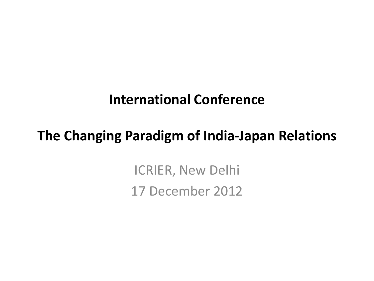#### **International Conference**

#### **The Changing Paradigm of India-Japan Relations**

ICRIER, New Delhi 17 December 2012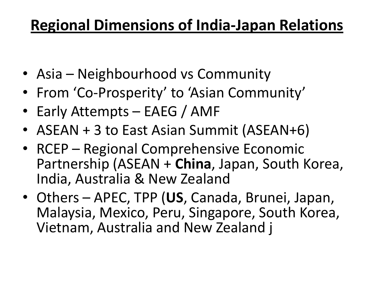## **Regional Dimensions of India-Japan Relations**

- Asia Neighbourhood vs Community
- From 'Co-Prosperity' to 'Asian Community'
- Early Attempts EAEG / AMF
- ASEAN + 3 to East Asian Summit (ASEAN+6)
- RCEP Regional Comprehensive Economic Partnership (ASEAN + **China**, Japan, South Korea, India, Australia & New Zealand
- Others APEC, TPP (**US**, Canada, Brunei, Japan, Malaysia, Mexico, Peru, Singapore, South Korea, Vietnam, Australia and New Zealand j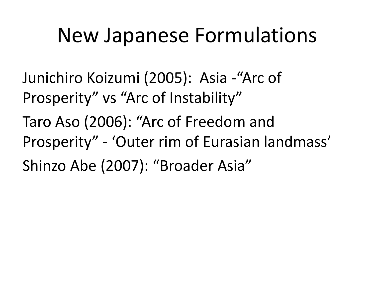## New Japanese Formulations

Junichiro Koizumi (2005): Asia -"Arc of Prosperity" vs "Arc of Instability" Taro Aso (2006): "Arc of Freedom and Prosperity" - 'Outer rim of Eurasian landmass'

Shinzo Abe (2007): "Broader Asia"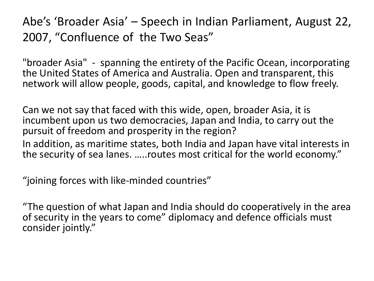Abe's 'Broader Asia' – Speech in Indian Parliament, August 22, 2007, "Confluence of the Two Seas"

"broader Asia" - spanning the entirety of the Pacific Ocean, incorporating the United States of America and Australia. Open and transparent, this network will allow people, goods, capital, and knowledge to flow freely.

Can we not say that faced with this wide, open, broader Asia, it is incumbent upon us two democracies, Japan and India, to carry out the pursuit of freedom and prosperity in the region? In addition, as maritime states, both India and Japan have vital interests in the security of sea lanes. …..routes most critical for the world economy."

"joining forces with like-minded countries"

"The question of what Japan and India should do cooperatively in the area of security in the years to come" diplomacy and defence officials must consider jointly."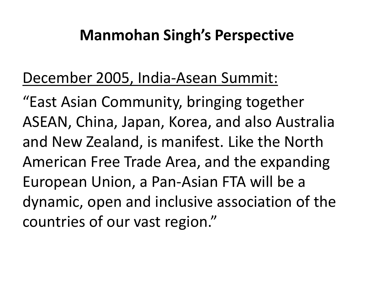## **Manmohan Singh's Perspective**

## December 2005, India-Asean Summit:

"East Asian Community, bringing together ASEAN, China, Japan, Korea, and also Australia and New Zealand, is manifest. Like the North American Free Trade Area, and the expanding European Union, a Pan-Asian FTA will be a dynamic, open and inclusive association of the countries of our vast region."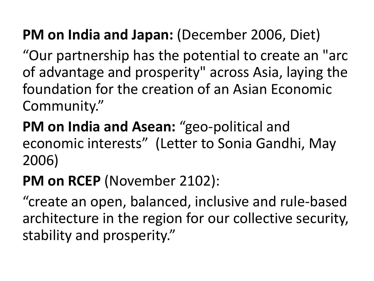## **PM on India and Japan:** (December 2006, Diet)

"Our partnership has the potential to create an "arc of advantage and prosperity" across Asia, laying the foundation for the creation of an Asian Economic Community."

**PM on India and Asean:** "geo-political and economic interests" (Letter to Sonia Gandhi, May 2006)

#### **PM on RCEP** (November 2102):

"create an open, balanced, inclusive and rule-based architecture in the region for our collective security, stability and prosperity."